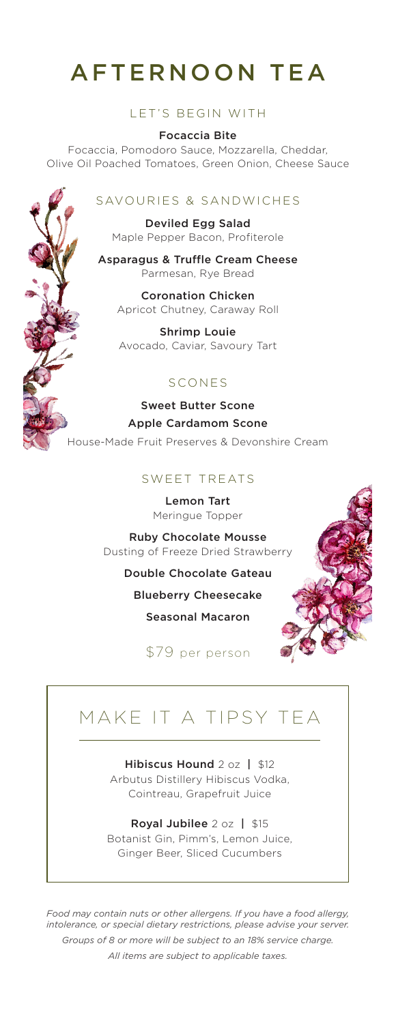# AFTERNOON TEA

#### LET'S BEGIN WITH

Focaccia Bite Focaccia, Pomodoro Sauce, Mozzarella, Cheddar, Olive Oil Poached Tomatoes, Green Onion, Cheese Sauce

## SAVOURIES & SANDWICHES

Deviled Egg Salad Maple Pepper Bacon, Profiterole

Asparagus & Truffle Cream Cheese Parmesan, Rye Bread

Coronation Chicken Apricot Chutney, Caraway Roll

Shrimp Louie Avocado, Caviar, Savoury Tart

#### SCONES

Sweet Butter Scone Apple Cardamom Scone House-Made Fruit Preserves & Devonshire Cream

## SWEET TREATS

Lemon Tart Meringue Topper

Ruby Chocolate Mousse Dusting of Freeze Dried Strawberry

Double Chocolate Gateau

Blueberry Cheesecake

Seasonal Macaron

\$79 per person

# MAKE IT A TIPSY TEA

Hibiscus Hound 2 oz | \$12 Arbutus Distillery Hibiscus Vodka, Cointreau, Grapefruit Juice

#### Royal Jubilee 2 oz | \$15

Botanist Gin, Pimm's, Lemon Juice, Ginger Beer, Sliced Cucumbers

*Food may contain nuts or other allergens. If you have a food allergy, intolerance, or special dietary restrictions, please advise your server. Groups of 8 or more will be subject to an 18% service charge. All items are subject to applicable taxes.*